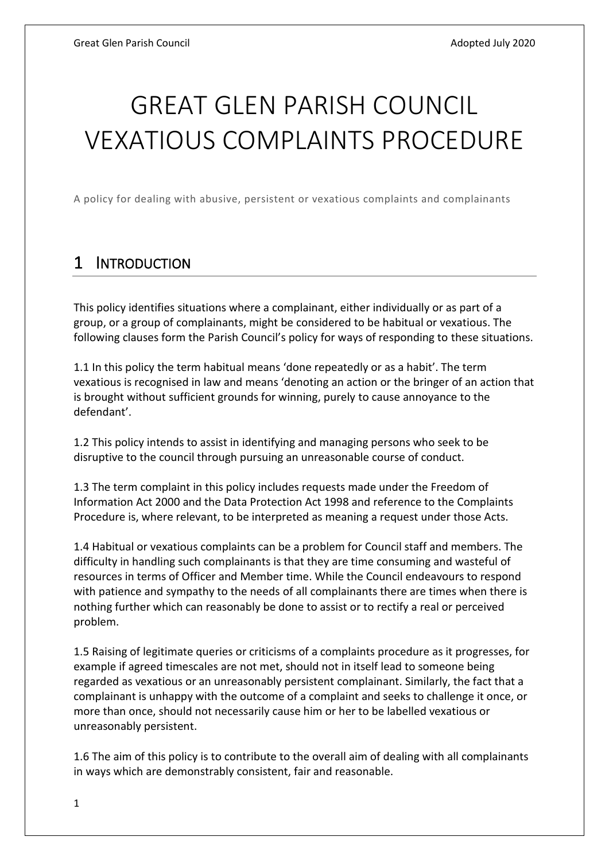# GREAT GLEN PARISH COUNCIL VEXATIOUS COMPLAINTS PROCEDURE

A policy for dealing with abusive, persistent or vexatious complaints and complainants

#### 1 INTRODUCTION

This policy identifies situations where a complainant, either individually or as part of a group, or a group of complainants, might be considered to be habitual or vexatious. The following clauses form the Parish Council's policy for ways of responding to these situations.

1.1 In this policy the term habitual means 'done repeatedly or as a habit'. The term vexatious is recognised in law and means 'denoting an action or the bringer of an action that is brought without sufficient grounds for winning, purely to cause annoyance to the defendant'.

1.2 This policy intends to assist in identifying and managing persons who seek to be disruptive to the council through pursuing an unreasonable course of conduct.

1.3 The term complaint in this policy includes requests made under the Freedom of Information Act 2000 and the Data Protection Act 1998 and reference to the Complaints Procedure is, where relevant, to be interpreted as meaning a request under those Acts.

1.4 Habitual or vexatious complaints can be a problem for Council staff and members. The difficulty in handling such complainants is that they are time consuming and wasteful of resources in terms of Officer and Member time. While the Council endeavours to respond with patience and sympathy to the needs of all complainants there are times when there is nothing further which can reasonably be done to assist or to rectify a real or perceived problem.

1.5 Raising of legitimate queries or criticisms of a complaints procedure as it progresses, for example if agreed timescales are not met, should not in itself lead to someone being regarded as vexatious or an unreasonably persistent complainant. Similarly, the fact that a complainant is unhappy with the outcome of a complaint and seeks to challenge it once, or more than once, should not necessarily cause him or her to be labelled vexatious or unreasonably persistent.

1.6 The aim of this policy is to contribute to the overall aim of dealing with all complainants in ways which are demonstrably consistent, fair and reasonable.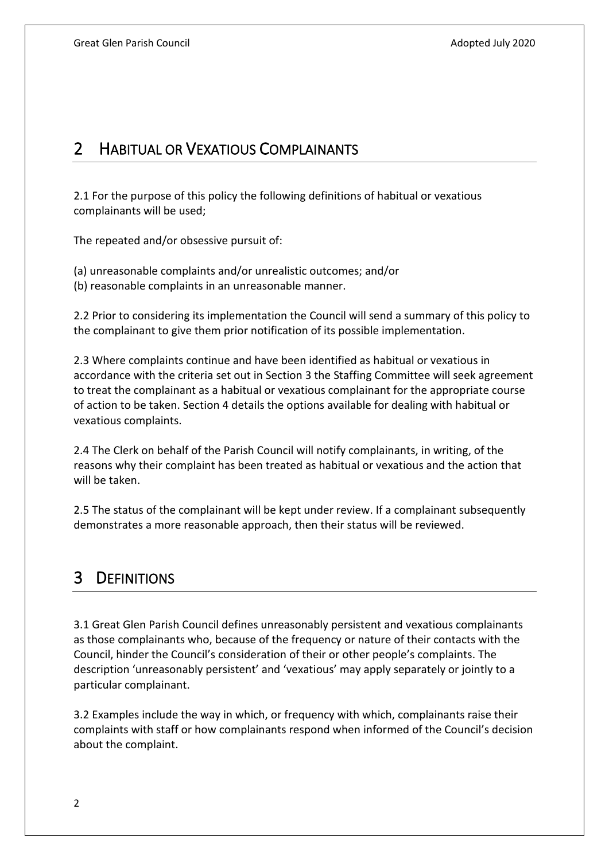### 2 HABITUAL OR VEXATIOUS COMPLAINANTS

2.1 For the purpose of this policy the following definitions of habitual or vexatious complainants will be used;

The repeated and/or obsessive pursuit of:

(a) unreasonable complaints and/or unrealistic outcomes; and/or (b) reasonable complaints in an unreasonable manner.

2.2 Prior to considering its implementation the Council will send a summary of this policy to the complainant to give them prior notification of its possible implementation.

2.3 Where complaints continue and have been identified as habitual or vexatious in accordance with the criteria set out in Section 3 the Staffing Committee will seek agreement to treat the complainant as a habitual or vexatious complainant for the appropriate course of action to be taken. Section 4 details the options available for dealing with habitual or vexatious complaints.

2.4 The Clerk on behalf of the Parish Council will notify complainants, in writing, of the reasons why their complaint has been treated as habitual or vexatious and the action that will be taken.

2.5 The status of the complainant will be kept under review. If a complainant subsequently demonstrates a more reasonable approach, then their status will be reviewed.

## 3 DEFINITIONS

3.1 Great Glen Parish Council defines unreasonably persistent and vexatious complainants as those complainants who, because of the frequency or nature of their contacts with the Council, hinder the Council's consideration of their or other people's complaints. The description 'unreasonably persistent' and 'vexatious' may apply separately or jointly to a particular complainant.

3.2 Examples include the way in which, or frequency with which, complainants raise their complaints with staff or how complainants respond when informed of the Council's decision about the complaint.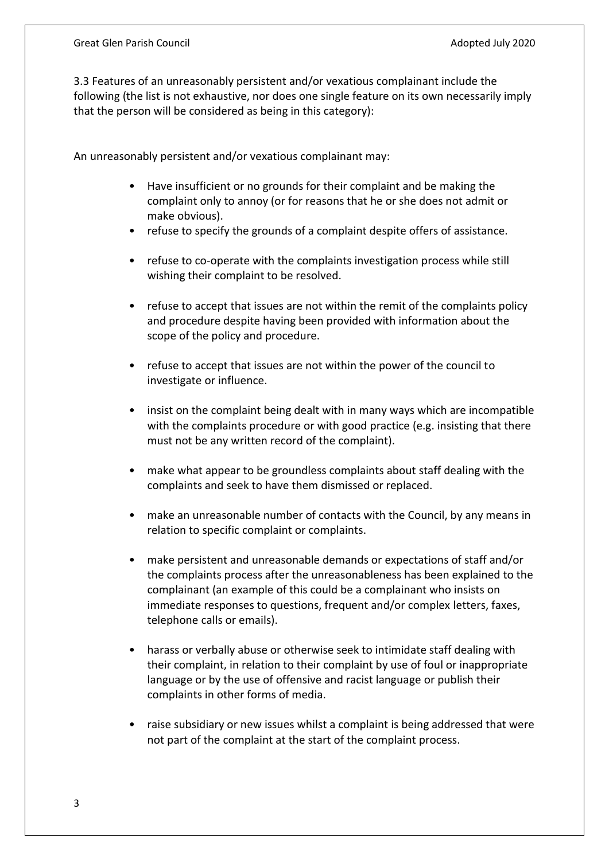3.3 Features of an unreasonably persistent and/or vexatious complainant include the following (the list is not exhaustive, nor does one single feature on its own necessarily imply that the person will be considered as being in this category):

An unreasonably persistent and/or vexatious complainant may:

- Have insufficient or no grounds for their complaint and be making the complaint only to annoy (or for reasons that he or she does not admit or make obvious).
- refuse to specify the grounds of a complaint despite offers of assistance.
- refuse to co-operate with the complaints investigation process while still wishing their complaint to be resolved.
- refuse to accept that issues are not within the remit of the complaints policy and procedure despite having been provided with information about the scope of the policy and procedure.
- refuse to accept that issues are not within the power of the council to investigate or influence.
- insist on the complaint being dealt with in many ways which are incompatible with the complaints procedure or with good practice (e.g. insisting that there must not be any written record of the complaint).
- make what appear to be groundless complaints about staff dealing with the complaints and seek to have them dismissed or replaced.
- make an unreasonable number of contacts with the Council, by any means in relation to specific complaint or complaints.
- make persistent and unreasonable demands or expectations of staff and/or the complaints process after the unreasonableness has been explained to the complainant (an example of this could be a complainant who insists on immediate responses to questions, frequent and/or complex letters, faxes, telephone calls or emails).
- harass or verbally abuse or otherwise seek to intimidate staff dealing with their complaint, in relation to their complaint by use of foul or inappropriate language or by the use of offensive and racist language or publish their complaints in other forms of media.
- raise subsidiary or new issues whilst a complaint is being addressed that were not part of the complaint at the start of the complaint process.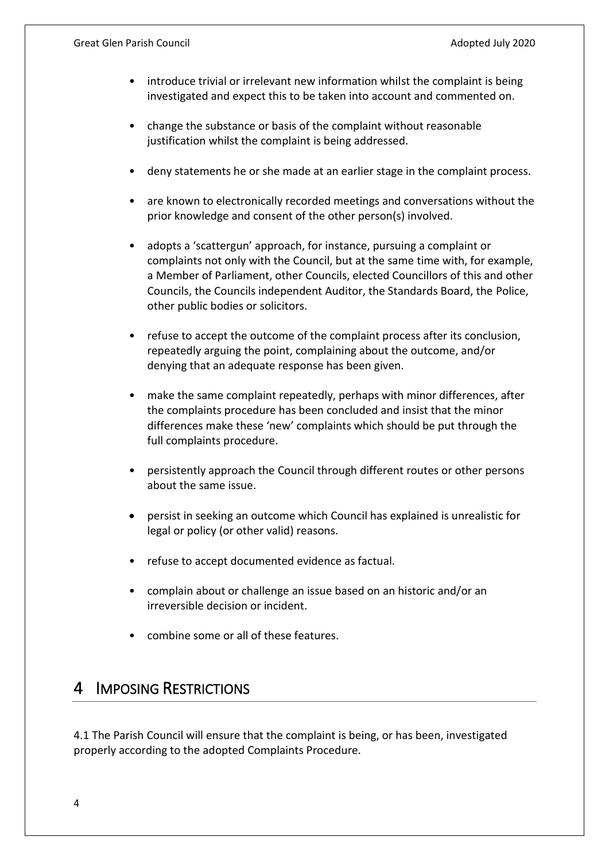- introduce trivial or irrelevant new information whilst the complaint is being investigated and expect this to be taken into account and commented on.
- change the substance or basis of the complaint without reasonable justification whilst the complaint is being addressed.
- deny statements he or she made at an earlier stage in the complaint process.
- are known to electronically recorded meetings and conversations without the prior knowledge and consent of the other person(s) involved.
- adopts a 'scattergun' approach, for instance, pursuing a complaint or complaints not only with the Council, but at the same time with, for example, a Member of Parliament, other Councils, elected Councillors of this and other Councils, the Councils independent Auditor, the Standards Board, the Police, other public bodies or solicitors.
- refuse to accept the outcome of the complaint process after its conclusion, repeatedly arguing the point, complaining about the outcome, and/or denying that an adequate response has been given.
- make the same complaint repeatedly, perhaps with minor differences, after the complaints procedure has been concluded and insist that the minor differences make these 'new' complaints which should be put through the full complaints procedure.
- persistently approach the Council through different routes or other persons about the same issue.
- persist in seeking an outcome which Council has explained is unrealistic for legal or policy (or other valid) reasons.
- refuse to accept documented evidence as factual.
- complain about or challenge an issue based on an historic and/or an irreversible decision or incident.
- combine some or all of these features.

#### 4 IMPOSING RESTRICTIONS

4.1 The Parish Council will ensure that the complaint is being, or has been, investigated properly according to the adopted Complaints Procedure.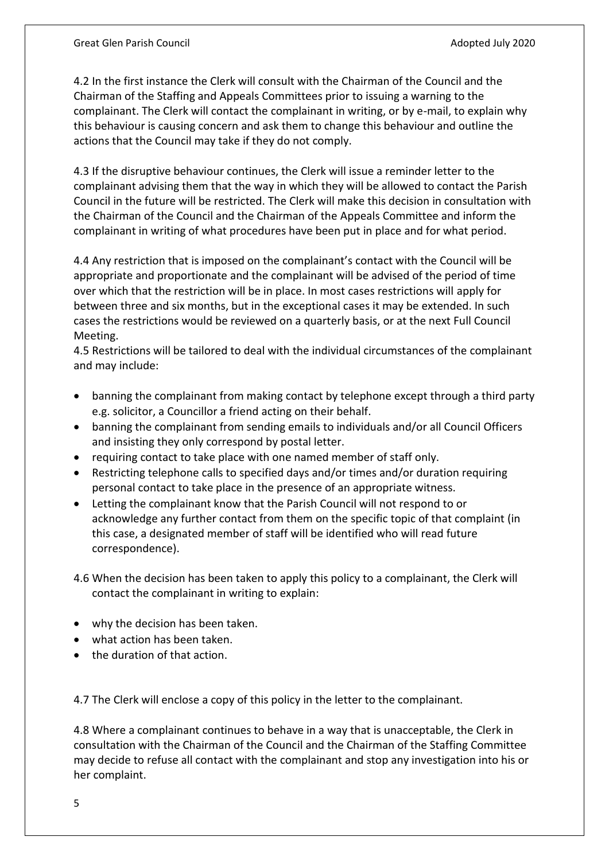4.2 In the first instance the Clerk will consult with the Chairman of the Council and the Chairman of the Staffing and Appeals Committees prior to issuing a warning to the complainant. The Clerk will contact the complainant in writing, or by e-mail, to explain why this behaviour is causing concern and ask them to change this behaviour and outline the actions that the Council may take if they do not comply.

4.3 If the disruptive behaviour continues, the Clerk will issue a reminder letter to the complainant advising them that the way in which they will be allowed to contact the Parish Council in the future will be restricted. The Clerk will make this decision in consultation with the Chairman of the Council and the Chairman of the Appeals Committee and inform the complainant in writing of what procedures have been put in place and for what period.

4.4 Any restriction that is imposed on the complainant's contact with the Council will be appropriate and proportionate and the complainant will be advised of the period of time over which that the restriction will be in place. In most cases restrictions will apply for between three and six months, but in the exceptional cases it may be extended. In such cases the restrictions would be reviewed on a quarterly basis, or at the next Full Council Meeting.

4.5 Restrictions will be tailored to deal with the individual circumstances of the complainant and may include:

- banning the complainant from making contact by telephone except through a third party e.g. solicitor, a Councillor a friend acting on their behalf.
- banning the complainant from sending emails to individuals and/or all Council Officers and insisting they only correspond by postal letter.
- requiring contact to take place with one named member of staff only.
- Restricting telephone calls to specified days and/or times and/or duration requiring personal contact to take place in the presence of an appropriate witness.
- Letting the complainant know that the Parish Council will not respond to or acknowledge any further contact from them on the specific topic of that complaint (in this case, a designated member of staff will be identified who will read future correspondence).
- 4.6 When the decision has been taken to apply this policy to a complainant, the Clerk will contact the complainant in writing to explain:
- why the decision has been taken.
- what action has been taken.
- the duration of that action.

4.7 The Clerk will enclose a copy of this policy in the letter to the complainant.

4.8 Where a complainant continues to behave in a way that is unacceptable, the Clerk in consultation with the Chairman of the Council and the Chairman of the Staffing Committee may decide to refuse all contact with the complainant and stop any investigation into his or her complaint.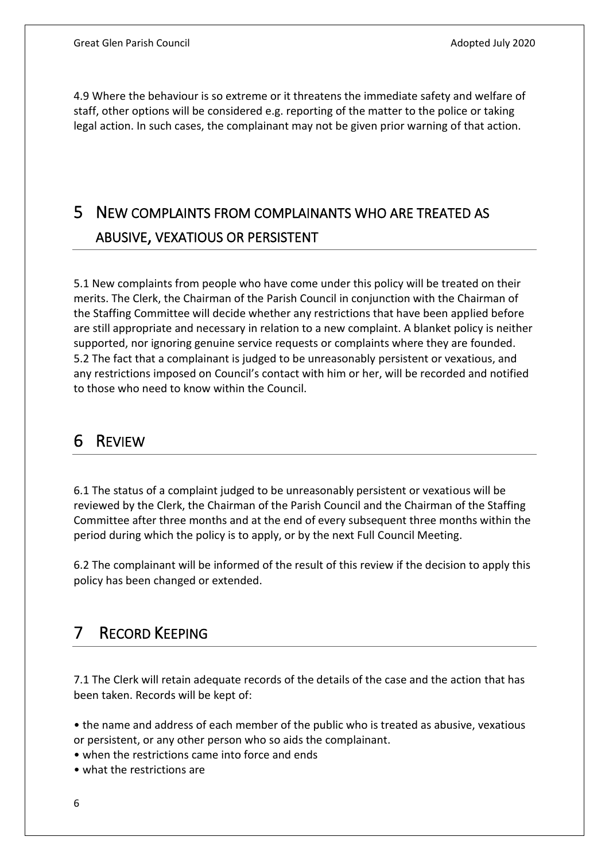4.9 Where the behaviour is so extreme or it threatens the immediate safety and welfare of staff, other options will be considered e.g. reporting of the matter to the police or taking legal action. In such cases, the complainant may not be given prior warning of that action.

# 5 NEW COMPLAINTS FROM COMPLAINANTS WHO ARE TREATED AS ABUSIVE, VEXATIOUS OR PERSISTENT

5.1 New complaints from people who have come under this policy will be treated on their merits. The Clerk, the Chairman of the Parish Council in conjunction with the Chairman of the Staffing Committee will decide whether any restrictions that have been applied before are still appropriate and necessary in relation to a new complaint. A blanket policy is neither supported, nor ignoring genuine service requests or complaints where they are founded. 5.2 The fact that a complainant is judged to be unreasonably persistent or vexatious, and any restrictions imposed on Council's contact with him or her, will be recorded and notified to those who need to know within the Council.

#### 6 REVIEW

6.1 The status of a complaint judged to be unreasonably persistent or vexatious will be reviewed by the Clerk, the Chairman of the Parish Council and the Chairman of the Staffing Committee after three months and at the end of every subsequent three months within the period during which the policy is to apply, or by the next Full Council Meeting.

6.2 The complainant will be informed of the result of this review if the decision to apply this policy has been changed or extended.

# 7 RECORD KEEPING

7.1 The Clerk will retain adequate records of the details of the case and the action that has been taken. Records will be kept of:

• the name and address of each member of the public who is treated as abusive, vexatious or persistent, or any other person who so aids the complainant.

• when the restrictions came into force and ends

• what the restrictions are